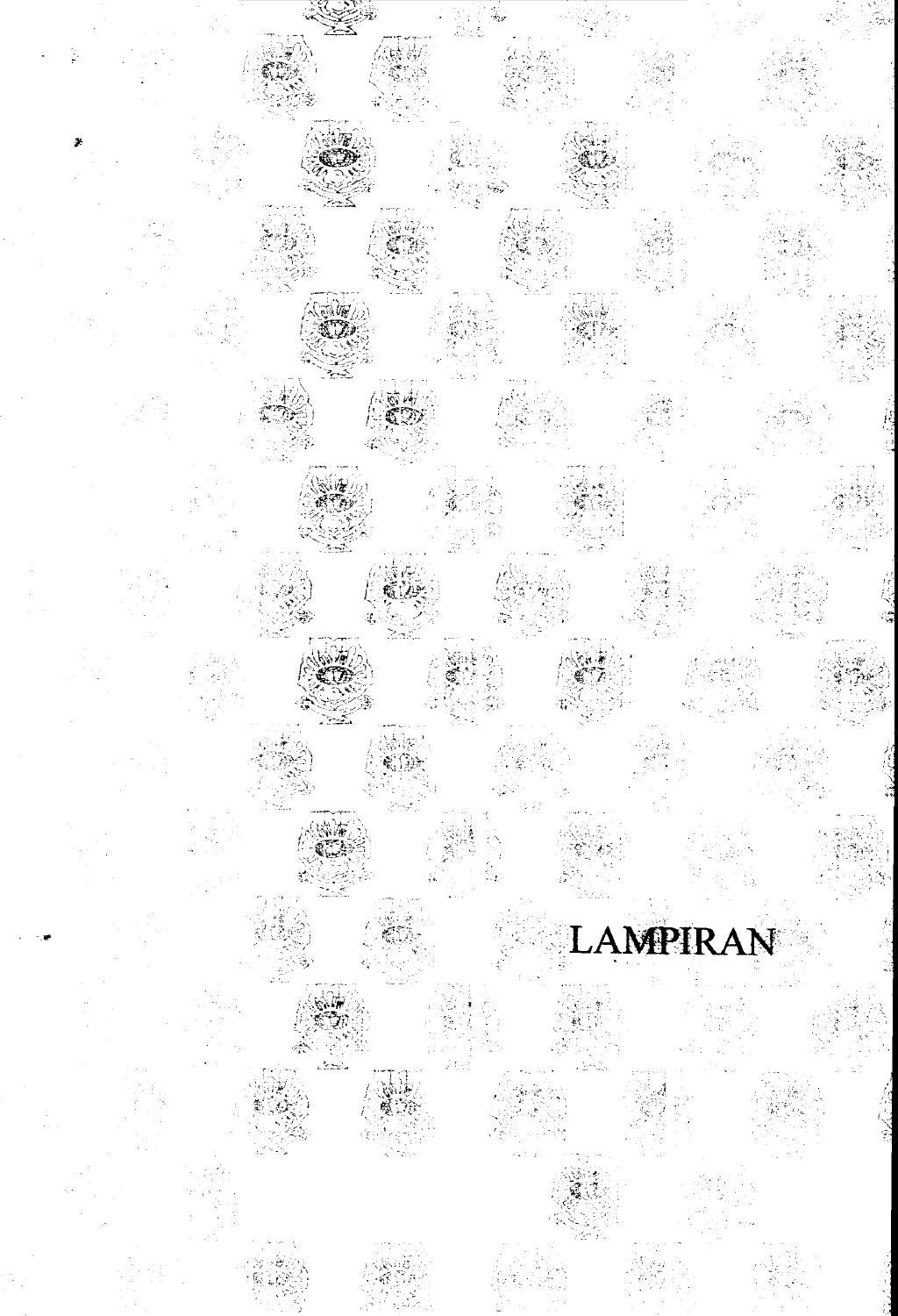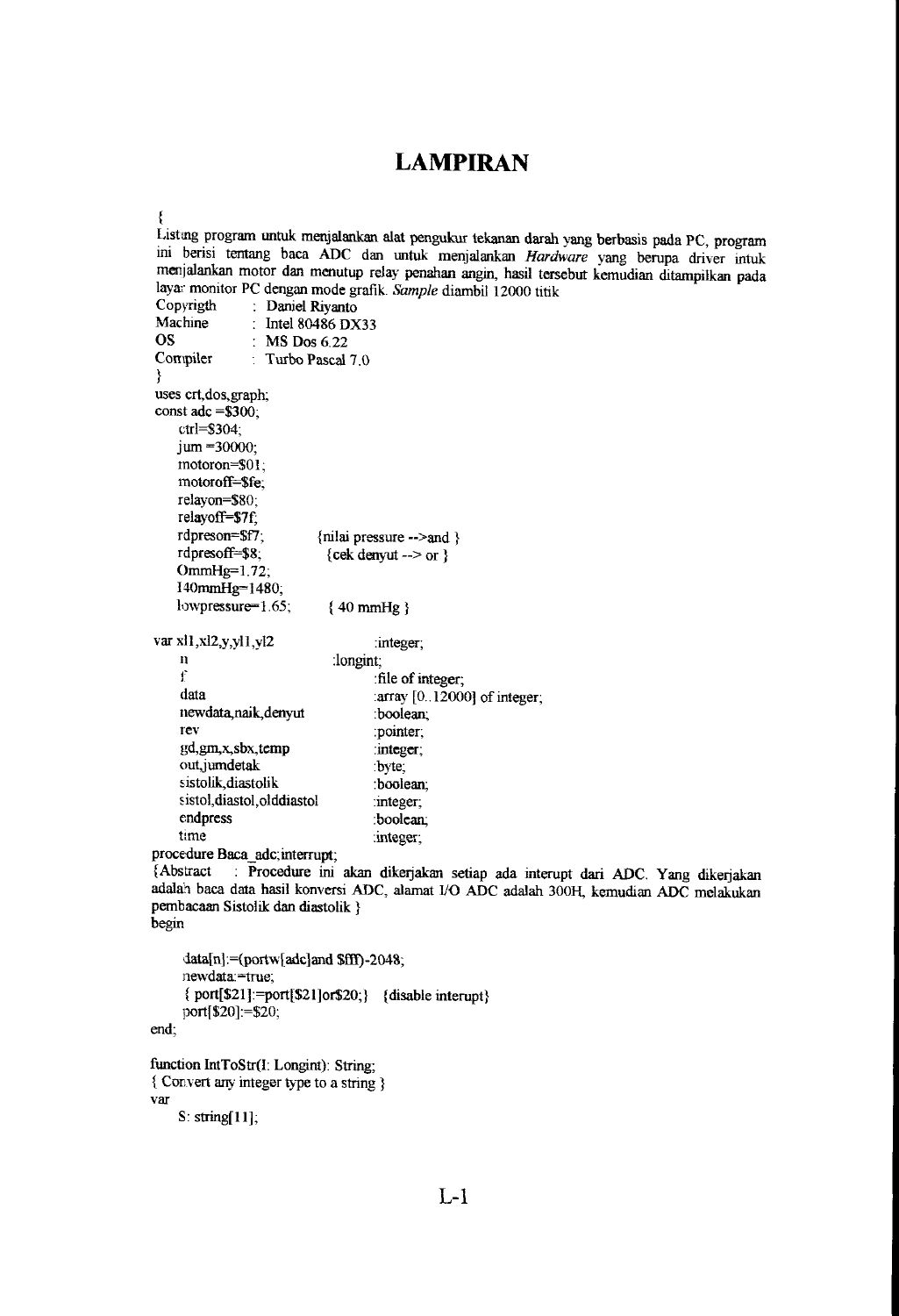## **LAMPlRAN**

```
Listing program untuk menjalankan alat pengukur tekanan darah yang berbasis pada PC, program
ini berisi tentang baca ADC dan untuk menjalankan Hardware yang berupa driver intuk
menjalankan motor dan menutup relay penahan angin, hasil tersebut kemudian ditampilkan pada 
layar monitor PC dengan mode grafik. Sample diambil 12000 titik Copyrigth : Daniel Rivanto
Copyrigth : Daniel Riyanto<br>Machine : Intel 80486 DX
Machine : Intel 80486 DX33<br>OS : MS Dos 6.22
OS : MS Dos 6.22<br>Compiler : Turbo Pascal
                T Turbo Pascal 7.0} 
uses crt,dos,graph; 
const adc =$300; 
    ctrl=$304; 
    jum = 30000;
    motoron=$OI ; 
    motoroff=$fe; 
    relayon=$80; 
    relayoff=$7f; 
    rdpreson=$f7 ; 
    rdpresoff=$8; 
    OmmHg=1.72;I40mmHg=1480; 
    lowpressure=1.65;
                            {nilai pressure -->and } 
                             {cek denyut --> or } 
                             (40mmHg} 
var xl1,xl2,y,yl1,yl2 :integer;
    n 
    f 
    data 
    newdata,naik,denyut 
    rev 
    gd,gm,x,sbx,temp 
    out, jumdetak
    sistolik,diastolik
    sistol,diastol,olddiastol
    endprcss 
    time
                              :longint; 
                                     :fi1e of integer; 
                                     :array [0 .. 12000] of integer; 
                                     :boolean; 
                                     :pointer; 
                                     :integer; 
                                     :byte; 
                                     :boolean; 
                                     :integer; 
                                     :boolean; 
                                     :integer; 
procedure Baca adc;interrupt; 
{Abstract : Procedure ini akan dikerjakan setiap ada interupt dari ADC. Yang dikerjakan
adalah baca data basil konversi ADC, alamat I/O ADC adalah 300H, kemudian ADC melakukan 
pembacaan Sistolik dan diastolik } 
begin 
     data[n] = (portw[adc]and Sff1) - 2048;newdata:=true; 
     { port[$Zl] :=port[$21]or$20;} {disable interupt} 
     port[$20]:=$20; 
end; 
function IntToStr(l: Longint): String; 
{ Convert any integer type to a string} 
var 
    s: string[ 11];
```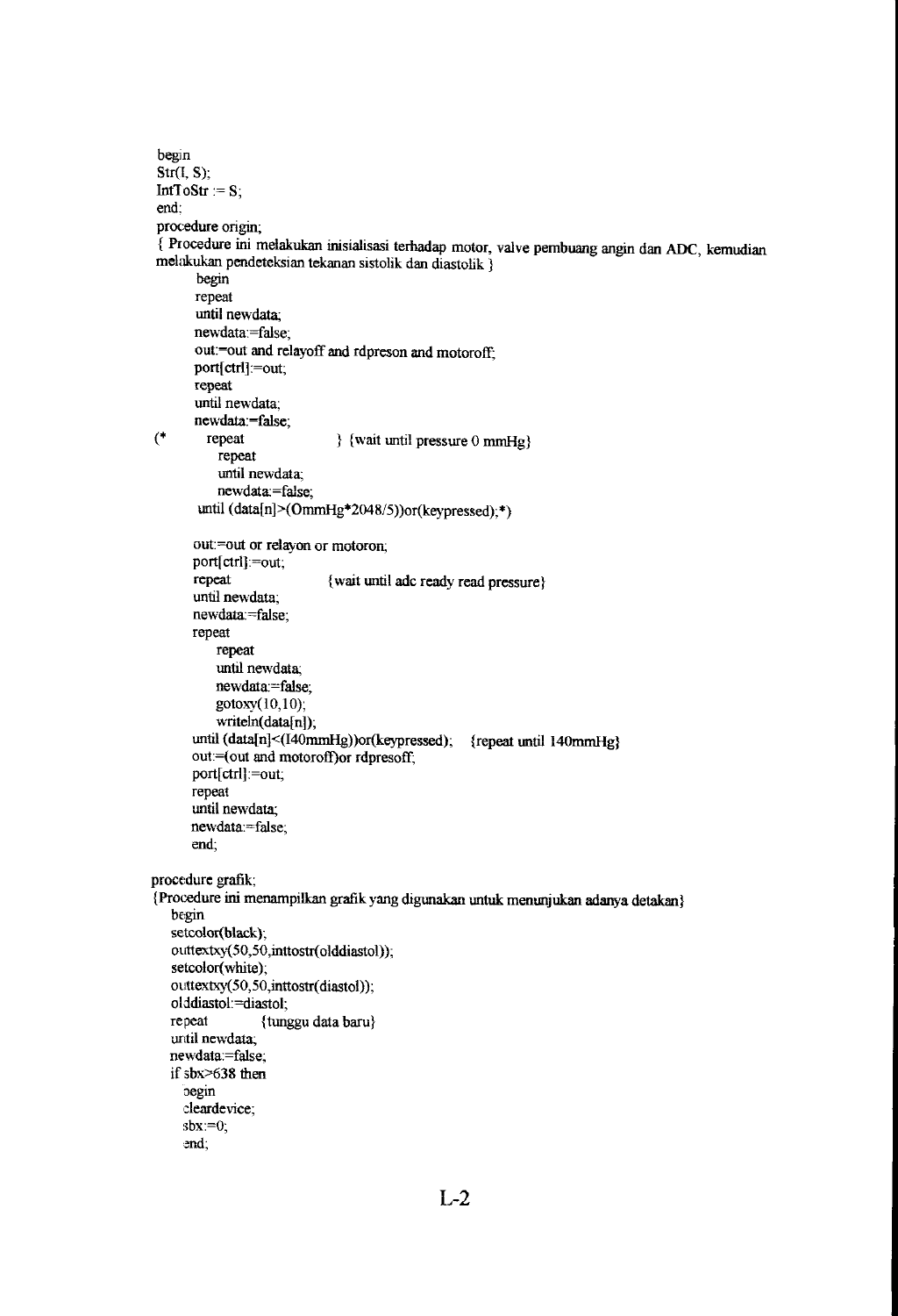```
begin 
 Str(I, S); 
 IntToStr := S;end: 
 procedure origin; 
 { Procedure ini melakukan inisialisasi terbadap motor, valve pembuang angin dan ADC, kemudian 
 melakukan pendeteksian tekanan sistolik dan diastolik } 
       begin 
       repeat 
       until newdata; 
       newdata:=false; 
       out:=out and relayoff and rdpreson and motoroff;
       port[ctrl] := out;repeat 
       until newdata; 
       newdata:=false; 
(* repeat {} } {wait until pressure 0 mmHg}
           repeat 
           until newdata; 
           newdata:=false; 
       until (data[n]>(OmmHg*2048/5))or(keypressed);*)
       out:=out or relayon or motoron; 
       port[ ctrl]:=out; 
       repeat 
       until newdata; 
       newdata:=false; 
       repeat 
           repeat 
           until newdata; 
           newdata:=false; 
           gotoxy(lO,lO); 
           writeln(data[n]);
                             { wait until adc ready read pressure} 
       until (data[n]<(I40mmHg))or(keypressed); {repeat until 140mmHg}
      out:=(out and motoroff)or rdpresoff;
      port[ctrl]:=out; 
      repeat 
      until newdata; 
      newdata:=false; 
      end; 
procedure grafik; 
(Procedure ini menampilkan grafik yang digunakan untuk menunjukan adanya detakan} 
   begin 
   setcolor(black);
   outtextxy(50,50,inttostr(olddiastol));
   setcolor(white); 
   outtextxy(50,50,inttostr(diastol));
   olddiastol:=diastol;<br>repeat {tung
                  {tunggu data baru}
   until newdata; 
   newdata:=false; 
   if sbx>638 then 
     oegin
     deardevice; 
     sbx:=0;
     ~nd;
```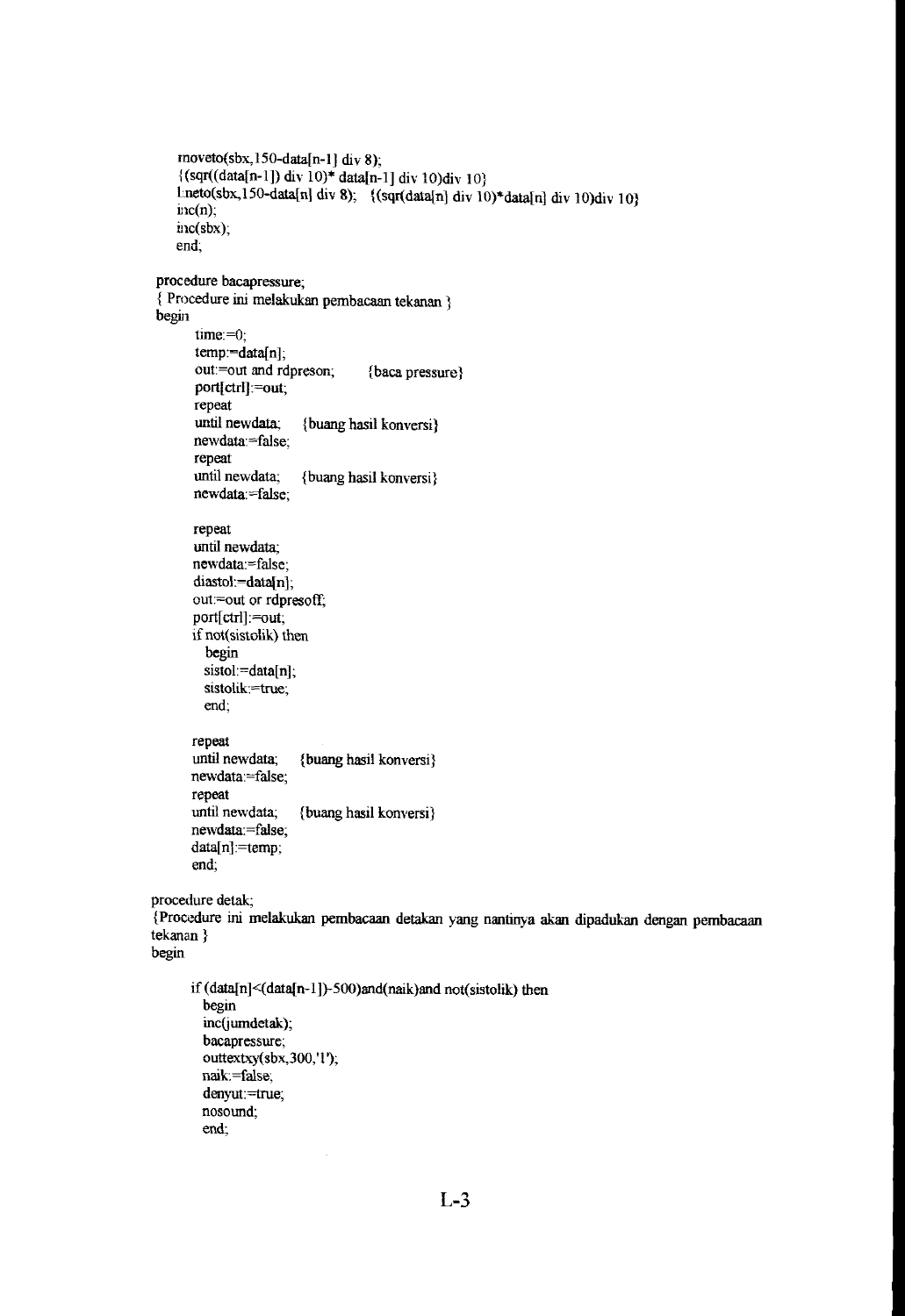```
rnototo(sbx, 150-data[n-1]div 8);\{(sqrt(data[n-1]) div 10)* data[n-1] div 10)div 10\}Lneto(sbx,150-data[n] div 8); {(sqr(data[n] div 10)*data[n] div 10)div 10}
    inc(n);
    inc(sbx); 
    end; 
procedure bacapressure; 
{ Procedure ini melakukan pembacaan tekanan } 
begin 
       time:=O; 
       temp = data[n];out:=out and rdpreson; {baca pressure}
       port[ctrl):=out; 
      repeat<br>until newdata:
                         {buang hasil konversi}
      newdata:=false; 
      repeat 
      until newdata; {buang hasil konversi} 
      newdata:=false; 
      repeat 
      until newdata; 
      newdata:=false; 
      diastol:=data[n];
      out:=out or rdpresoff; 
      port[ctrl):=out; 
      if not(sistolik) then 
        begin 
        sistol:=data[n];
        sistolik:=true; 
        end; 
      repeat 
      until newdata; {buang hasil konversi} 
      newdata:=false; 
      repeat 
      until newdata; {buang hasil konversi} 
      newdata:=false; 
      data[n]:=temp; 
      end; 
procedure detak; 
{Procedure ini melakukan pembacaan detakan yang nantinya akan dipadukan dengan pembacaan 
tekanan} 
begin 
      if (data[n]<(data[n-1])-500)and(naik)and not(sistolik) then
        begin 
        inc(jumdetak);
        bacapressure; 
        outtextxy(sbx,300, '1 '); 
        naik: =false; 
        denyut:=true; 
        nosound; 
        end;
```

```
L-3
```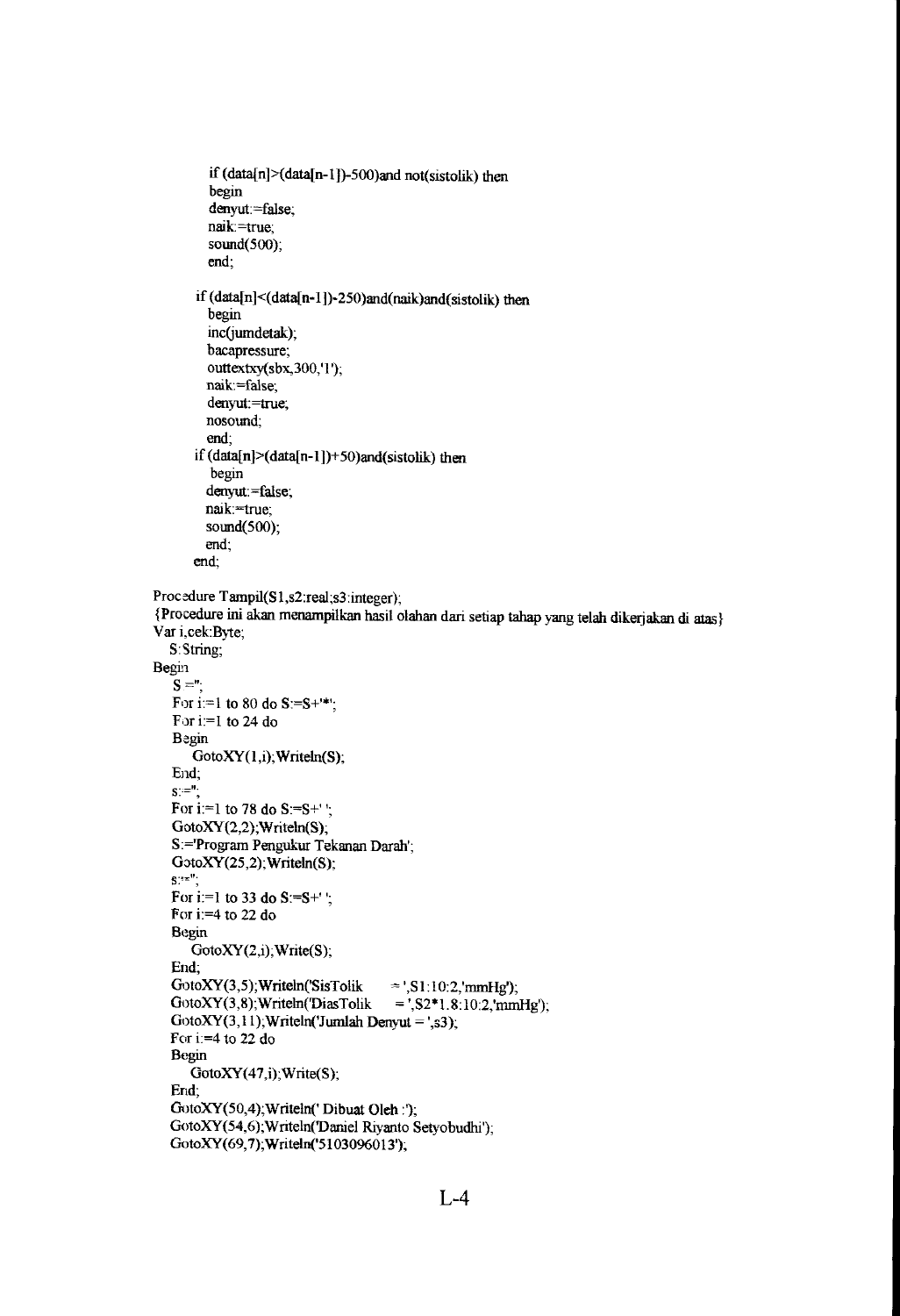```
if (data[n]>(data[n-l])-500)and not(sistolik) then 
         begin 
         denyut:=false;
         naik =true; 
         sound(500);
         end; 
       if (data[n] < (data[n-1]) - 250)and(naik)and(sistolik) then
         begin 
         inc(jumdetak);
         bacapressure; 
         outtextxy(sbx,300,'1');
        naik=false; 
         denyut:=true; 
        nosound; 
         end; 
       if (data[n]>(data[n-1])+50)and(sistolik) then
         begin 
        denyut:=false;
        naik:=true;
        sound(500); 
        end; 
      end; 
Procedure Tampil(S1,s2:real;s3:integer);
{Procedure ini akan menampilkan basil olahan dari setiap tahap yang telah dikerjakan iii atas} 
Var i,cek: Byte;
  8: String; 
Begin
   S ="
   For i:=1 to 80 do S:=S++^*;
   For i:=1 to 24 do 
   Begin 
      GotoXY(1, i); Writeln(S);
   End;<br>s:=";
   For i:=1 to 78 do S:=S^+';
   GotoXY(2,2);Writeln(S); 
   S:='Program Pengukur Tekanan Darah';
   GotoXY(25,2);Writeln(S);<br>S:='';
   For i:=1 to 33 do S:=S^+';
   For i:=4 to 22 do
   Begin 
      GotoXY(2,i); Write(S);
   End; 
   GotoXY(3,5);Writeln('SisTolik =',S1:10:2,'mmHg');
   GotoXY(3,8);Writeln('DiasTolik = ',S2*1.8:10:2,'mmHg');
   GotoXY(3,11); Writeln('Jumlah Denyut = ',s3);
  For i:=4 to 22 do 
   Begin 
      GotoXY(47,i); Write(S);
   End; 
  GotoXY(50,4);Writeln(' Dibuat Oleh :'); 
  GotoXY(54,6);Writeln(Daniel Riyanto 8etyobudhi'); 
  GotoXY(69,7);Writeln('5103096013');
```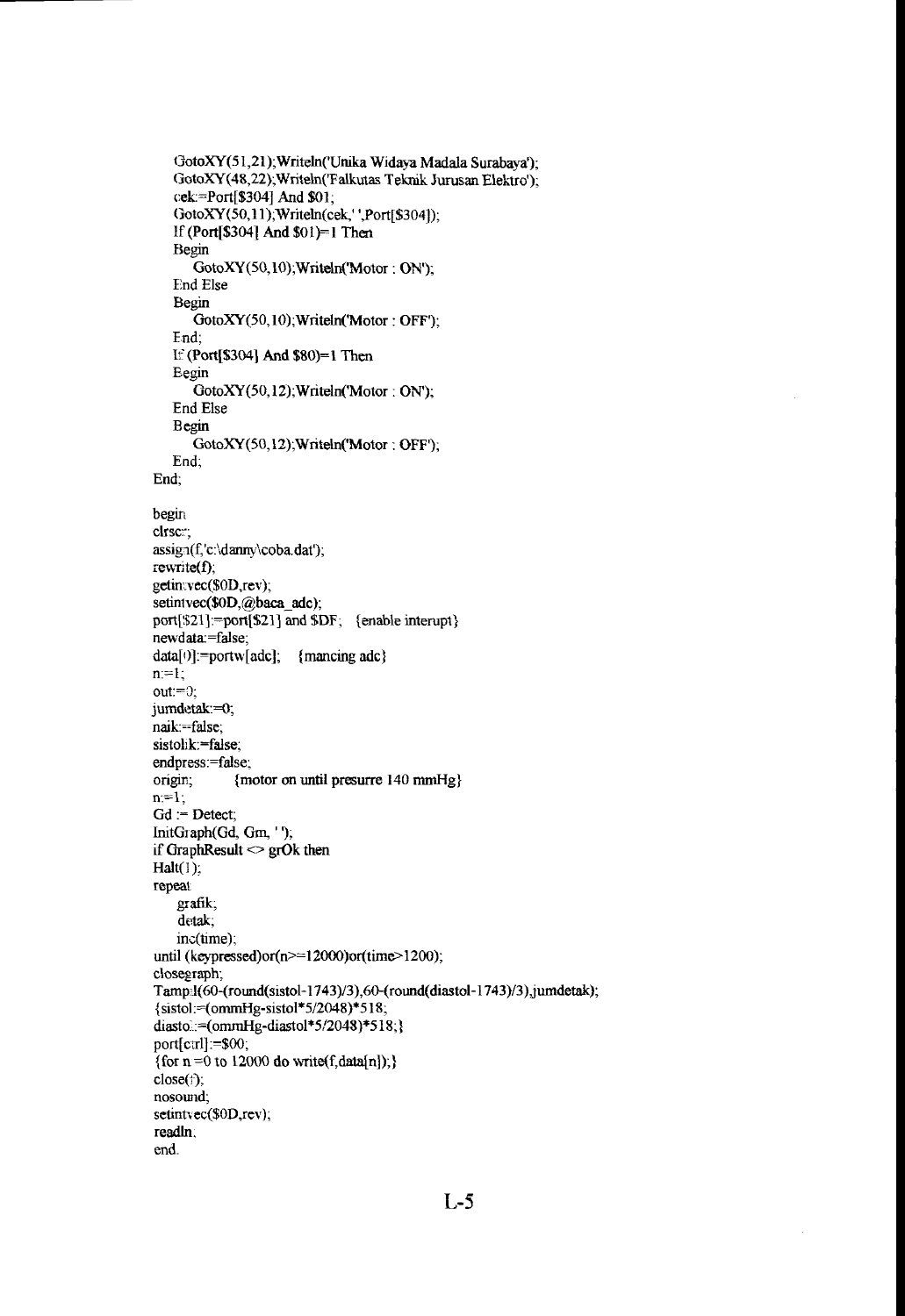```
GotoXY(51,21);Writeln('Unika Widaya Madala Surabaya');
   GotoXY(48,22);Writeln('Falkutas Teknik Jurusan Elektro');
   cek=Port[$304] And $0 1; 
   GotoXY(50,11 );Writeln(cek,' ',Port[$304]); 
   If (Port[$3041 And $01)=1 Then 
   Begin 
      GotoXY(50,10);Writeln('Motor: ON'); 
   End Else 
   Begin 
      GotoXY(50,10);Writeln('Motor: OFF');
   End; 
   If (Port[$304] And $80)=1 Then 
   Begin 
      GotoXY(50,12);Writeln('Motor: ON'); 
   End Else 
   Begin 
      GotoXY(50,12);Writeln('Motor: OFF');
   End; 
End; 
begin 
clrsc<sub>:</sub>;
assign(f, 'c:\d{damry}\coba.dat');
rewrite(f); 
getin:vec($0D,rev);
setintvec($0D,@baca_adc);
port[$21]:=port[$21] and $DF; {enable interupt}
newdata:=false; 
data[0] := portw[adc]; {mancing adc}
n:=l; 
out:=O; 
jumdetak:=O; 
naik:==false;
sistolik:=false;
endpress:=false; 
origin; {motor on until presurre 140 mmHg}
n:=l; 
Gd := Detect;
InitGraph(Gd, Gm, '');
if GraphResult \le grOk then
Halt(1);repeat 
    grafik; 
    detak; 
   inc(time); 
until (keypressed)or(n>=12000)or(time>1200);
closegraph; 
Tamp:l(60-(round(sistol-1743)/3),60-(round(diastol-1743)/3),jumdetak);
{sistol:=(omrnHg-sistol*5/2048)*518; 
diasto:=(ommHg-diastol*5/2048)*518;}
port[ctrl] :=$00;
{for n = 0 to 12000 do write(f,data[n]);}
close(f);
nosound;
setintvec($0D,rev);
readln, 
end.
```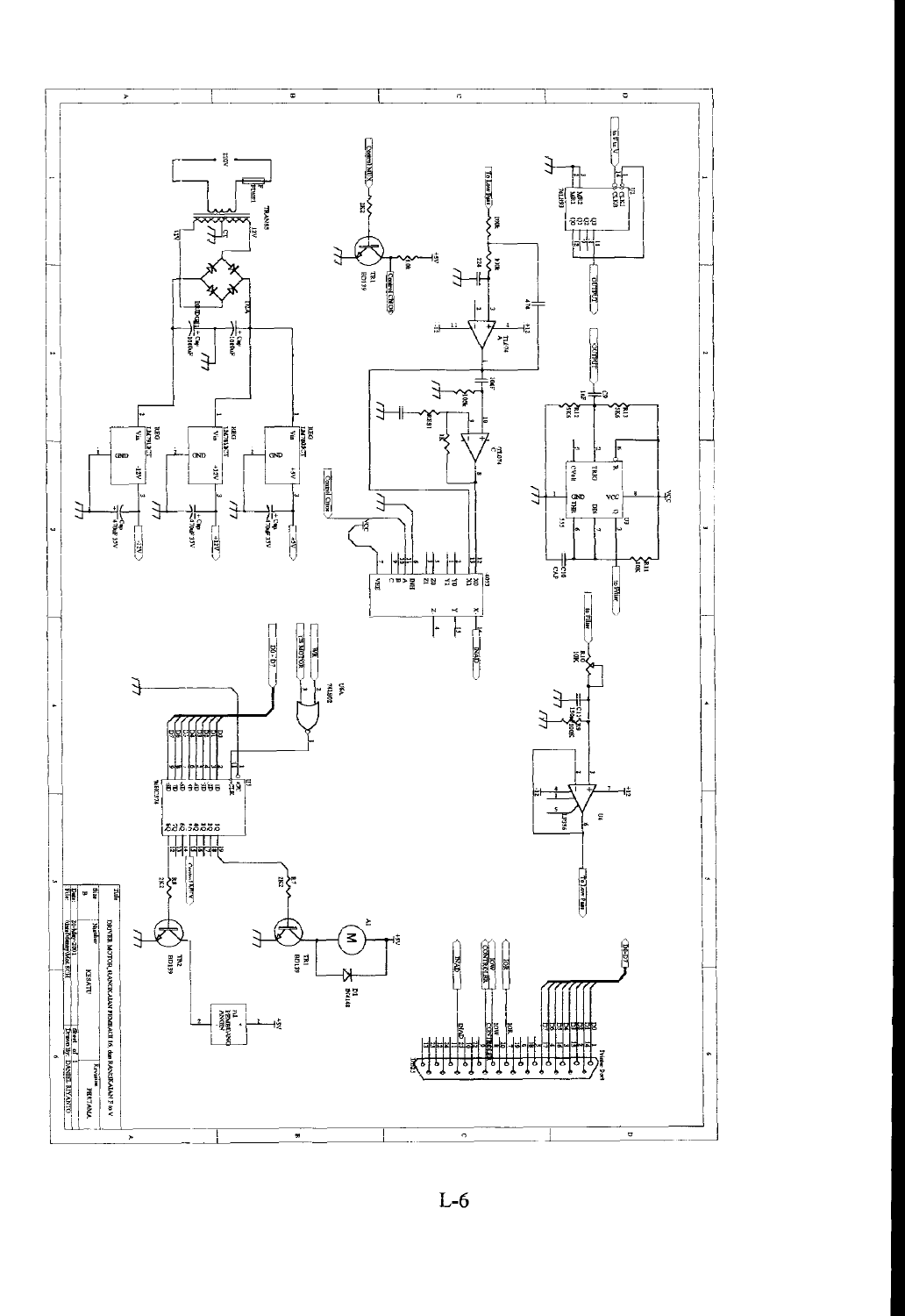

L-6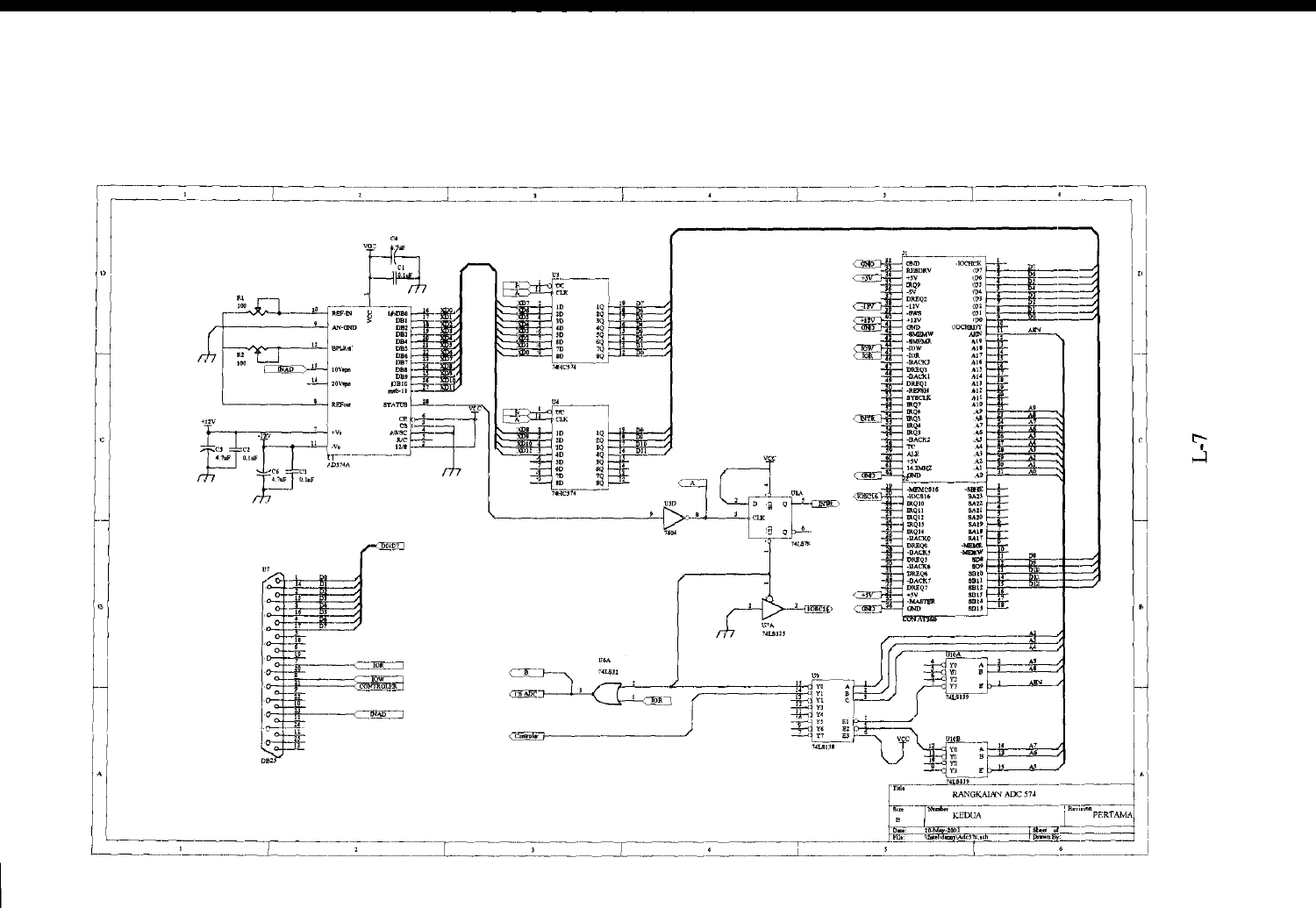

 $L-I$